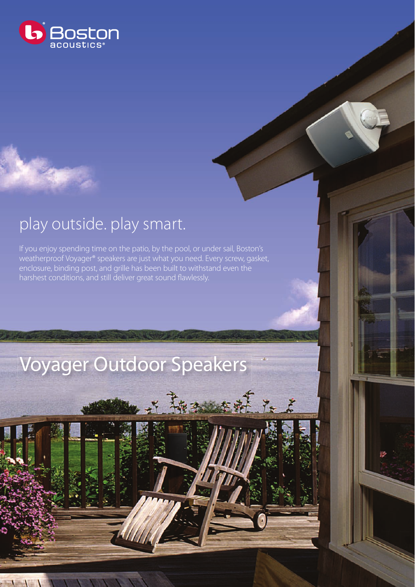

## play outside. play smart.

 $\mathbf{H}$ 

If you enjoy spending time on the patio, by the pool, or under sail, Boston's weatherproof Voyager® speakers are just what you need. Every screw, gasket, enclosure, binding post, and grille has been built to withstand even the harshest conditions, and still deliver great sound flawlessly.

## Voyager Outdoor Speakers

王義 本就 在